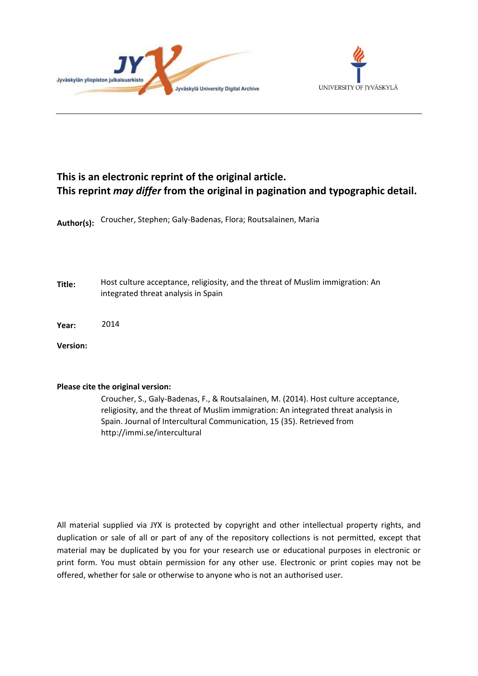



### **This is an electronic reprint of the original article. This reprint** *may differ* **from the original in pagination and typographic detail.**

**Author(s):**  Croucher, Stephen; Galy-Badenas, Flora; Routsalainen, Maria

**Title:** Host culture acceptance, religiosity, and the threat of Muslim immigration: An integrated threat analysis in Spain

**Year:**  2014

**Version:**

#### **Please cite the original version:**

Croucher, S., Galy-Badenas, F., & Routsalainen, M. (2014). Host culture acceptance, religiosity, and the threat of Muslim immigration: An integrated threat analysis in Spain. Journal of Intercultural Communication, 15 (35). Retrieved from http://immi.se/intercultural

All material supplied via JYX is protected by copyright and other intellectual property rights, and duplication or sale of all or part of any of the repository collections is not permitted, except that material may be duplicated by you for your research use or educational purposes in electronic or print form. You must obtain permission for any other use. Electronic or print copies may not be offered, whether for sale or otherwise to anyone who is not an authorised user.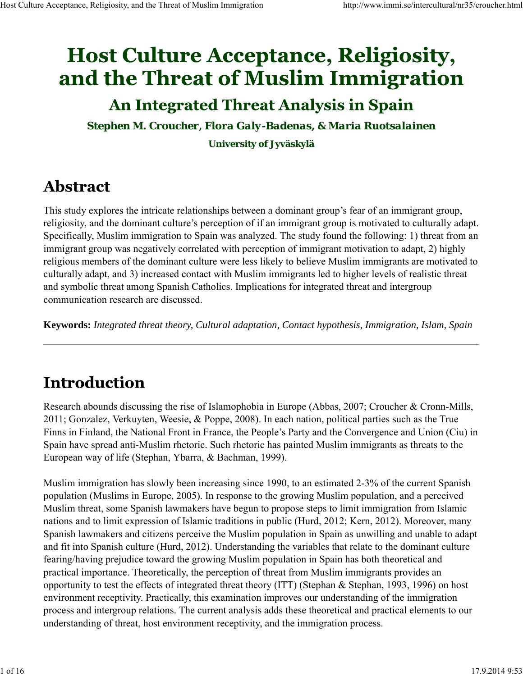# **Host Culture Acceptance, Religiosity,** and the Threat of Muslim Immigration

## **An Integrated Threat Analysis in Spain**

*Stephen M. Croucher, Flora Galy-Badenas, & Maria Ruotsalainen* **University of Jyväskylä**

## **Abstract**

This study explores the intricate relationships between a dominant group's fear of an immigrant group, religiosity, and the dominant culture's perception of if an immigrant group is motivated to culturally adapt. Specifically, Muslim immigration to Spain was analyzed. The study found the following: 1) threat from an immigrant group was negatively correlated with perception of immigrant motivation to adapt, 2) highly religious members of the dominant culture were less likely to believe Muslim immigrants are motivated to culturally adapt, and 3) increased contact with Muslim immigrants led to higher levels of realistic threat and symbolic threat among Spanish Catholics. Implications for integrated threat and intergroup communication research are discussed.

**Keywords:** *Integrated threat theory, Cultural adaptation, Contact hypothesis, Immigration, Islam, Spain*

## Introduction

Research abounds discussing the rise of Islamophobia in Europe (Abbas, 2007; Croucher & Cronn-Mills, 2011; Gonzalez, Verkuyten, Weesie, & Poppe, 2008). In each nation, political parties such as the True Finns in Finland, the National Front in France, the People's Party and the Convergence and Union (Ciu) in Spain have spread anti-Muslim rhetoric. Such rhetoric has painted Muslim immigrants as threats to the European way of life (Stephan, Ybarra, & Bachman, 1999).

Muslim immigration has slowly been increasing since 1990, to an estimated 2-3% of the current Spanish population (Muslims in Europe, 2005). In response to the growing Muslim population, and a perceived Muslim threat, some Spanish lawmakers have begun to propose steps to limit immigration from Islamic nations and to limit expression of Islamic traditions in public (Hurd, 2012; Kern, 2012). Moreover, many Spanish lawmakers and citizens perceive the Muslim population in Spain as unwilling and unable to adapt and fit into Spanish culture (Hurd, 2012). Understanding the variables that relate to the dominant culture fearing/having prejudice toward the growing Muslim population in Spain has both theoretical and practical importance. Theoretically, the perception of threat from Muslim immigrants provides an opportunity to test the effects of integrated threat theory (ITT) (Stephan & Stephan, 1993, 1996) on host environment receptivity. Practically, this examination improves our understanding of the immigration process and intergroup relations. The current analysis adds these theoretical and practical elements to our understanding of threat, host environment receptivity, and the immigration process.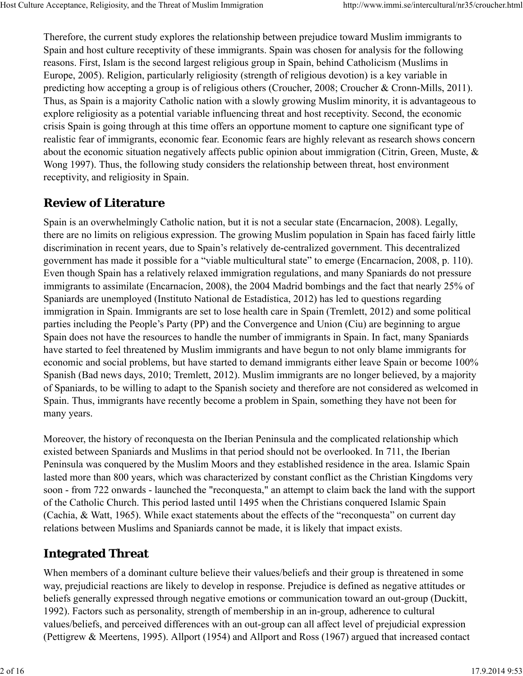Therefore, the current study explores the relationship between prejudice toward Muslim immigrants to Spain and host culture receptivity of these immigrants. Spain was chosen for analysis for the following reasons. First, Islam is the second largest religious group in Spain, behind Catholicism (Muslims in Europe, 2005). Religion, particularly religiosity (strength of religious devotion) is a key variable in predicting how accepting a group is of religious others (Croucher, 2008; Croucher & Cronn-Mills, 2011). Thus, as Spain is a majority Catholic nation with a slowly growing Muslim minority, it is advantageous to explore religiosity as a potential variable influencing threat and host receptivity. Second, the economic crisis Spain is going through at this time offers an opportune moment to capture one significant type of realistic fear of immigrants, economic fear. Economic fears are highly relevant as research shows concern about the economic situation negatively affects public opinion about immigration (Citrin, Green, Muste, & Wong 1997). Thus, the following study considers the relationship between threat, host environment receptivity, and religiosity in Spain.

### **Review of Literature**

Spain is an overwhelmingly Catholic nation, but it is not a secular state (Encarnacíon, 2008). Legally, there are no limits on religious expression. The growing Muslim population in Spain has faced fairly little discrimination in recent years, due to Spain's relatively de-centralized government. This decentralized government has made it possible for a "viable multicultural state" to emerge (Encarnacíon, 2008, p. 110). Even though Spain has a relatively relaxed immigration regulations, and many Spaniards do not pressure immigrants to assimilate (Encarnacíon, 2008), the 2004 Madrid bombings and the fact that nearly 25% of Spaniards are unemployed (Instituto National de Estadística, 2012) has led to questions regarding immigration in Spain. Immigrants are set to lose health care in Spain (Tremlett, 2012) and some political parties including the People's Party (PP) and the Convergence and Union (Ciu) are beginning to argue Spain does not have the resources to handle the number of immigrants in Spain. In fact, many Spaniards have started to feel threatened by Muslim immigrants and have begun to not only blame immigrants for economic and social problems, but have started to demand immigrants either leave Spain or become 100% Spanish (Bad news days, 2010; Tremlett, 2012). Muslim immigrants are no longer believed, by a majority of Spaniards, to be willing to adapt to the Spanish society and therefore are not considered as welcomed in Spain. Thus, immigrants have recently become a problem in Spain, something they have not been for many years.

Moreover, the history of reconquesta on the Iberian Peninsula and the complicated relationship which existed between Spaniards and Muslims in that period should not be overlooked. In 711, the Iberian Peninsula was conquered by the Muslim Moors and they established residence in the area. Islamic Spain lasted more than 800 years, which was characterized by constant conflict as the Christian Kingdoms very soon - from 722 onwards - launched the "reconquesta," an attempt to claim back the land with the support of the Catholic Church. This period lasted until 1495 when the Christians conquered Islamic Spain (Cachia, & Watt, 1965). While exact statements about the effects of the "reconquesta" on current day relations between Muslims and Spaniards cannot be made, it is likely that impact exists.

### **Integrated Threat**

When members of a dominant culture believe their values/beliefs and their group is threatened in some way, prejudicial reactions are likely to develop in response. Prejudice is defined as negative attitudes or beliefs generally expressed through negative emotions or communication toward an out-group (Duckitt, 1992). Factors such as personality, strength of membership in an in-group, adherence to cultural values/beliefs, and perceived differences with an out-group can all affect level of prejudicial expression (Pettigrew & Meertens, 1995). Allport (1954) and Allport and Ross (1967) argued that increased contact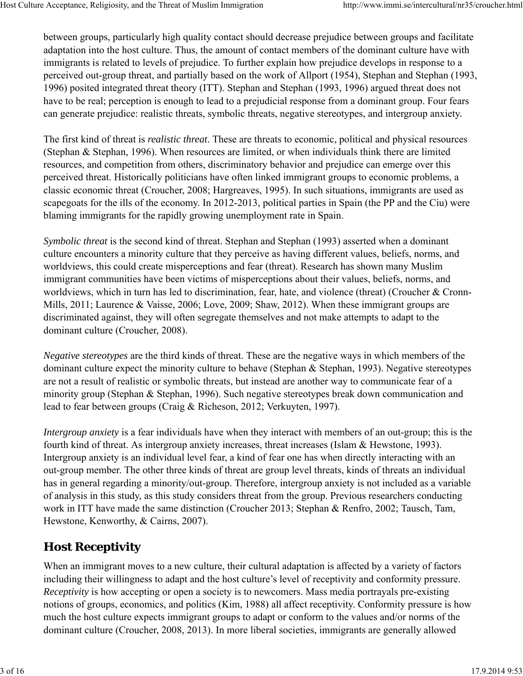between groups, particularly high quality contact should decrease prejudice between groups and facilitate adaptation into the host culture. Thus, the amount of contact members of the dominant culture have with immigrants is related to levels of prejudice. To further explain how prejudice develops in response to a perceived out-group threat, and partially based on the work of Allport (1954), Stephan and Stephan (1993, 1996) posited integrated threat theory (ITT). Stephan and Stephan (1993, 1996) argued threat does not have to be real; perception is enough to lead to a prejudicial response from a dominant group. Four fears can generate prejudice: realistic threats, symbolic threats, negative stereotypes, and intergroup anxiety.

The first kind of threat is *realistic threat*. These are threats to economic, political and physical resources (Stephan & Stephan, 1996). When resources are limited, or when individuals think there are limited resources, and competition from others, discriminatory behavior and prejudice can emerge over this perceived threat. Historically politicians have often linked immigrant groups to economic problems, a classic economic threat (Croucher, 2008; Hargreaves, 1995). In such situations, immigrants are used as scapegoats for the ills of the economy. In 2012-2013, political parties in Spain (the PP and the Ciu) were blaming immigrants for the rapidly growing unemployment rate in Spain.

*Symbolic threat* is the second kind of threat. Stephan and Stephan (1993) asserted when a dominant culture encounters a minority culture that they perceive as having different values, beliefs, norms, and worldviews, this could create misperceptions and fear (threat). Research has shown many Muslim immigrant communities have been victims of misperceptions about their values, beliefs, norms, and worldviews, which in turn has led to discrimination, fear, hate, and violence (threat) (Croucher & Cronn-Mills, 2011; Laurence & Vaisse, 2006; Love, 2009; Shaw, 2012). When these immigrant groups are discriminated against, they will often segregate themselves and not make attempts to adapt to the dominant culture (Croucher, 2008).

*Negative stereotypes* are the third kinds of threat. These are the negative ways in which members of the dominant culture expect the minority culture to behave (Stephan & Stephan, 1993). Negative stereotypes are not a result of realistic or symbolic threats, but instead are another way to communicate fear of a minority group (Stephan & Stephan, 1996). Such negative stereotypes break down communication and lead to fear between groups (Craig & Richeson, 2012; Verkuyten, 1997).

*Intergroup anxiety* is a fear individuals have when they interact with members of an out-group; this is the fourth kind of threat. As intergroup anxiety increases, threat increases (Islam & Hewstone, 1993). Intergroup anxiety is an individual level fear, a kind of fear one has when directly interacting with an out-group member. The other three kinds of threat are group level threats, kinds of threats an individual has in general regarding a minority/out-group. Therefore, intergroup anxiety is not included as a variable of analysis in this study, as this study considers threat from the group. Previous researchers conducting work in ITT have made the same distinction (Croucher 2013; Stephan & Renfro, 2002; Tausch, Tam, Hewstone, Kenworthy, & Cairns, 2007).

## **Host Receptivity**

When an immigrant moves to a new culture, their cultural adaptation is affected by a variety of factors including their willingness to adapt and the host culture's level of receptivity and conformity pressure. *Receptivity* is how accepting or open a society is to newcomers. Mass media portrayals pre-existing notions of groups, economics, and politics (Kim, 1988) all affect receptivity. Conformity pressure is how much the host culture expects immigrant groups to adapt or conform to the values and/or norms of the dominant culture (Croucher, 2008, 2013). In more liberal societies, immigrants are generally allowed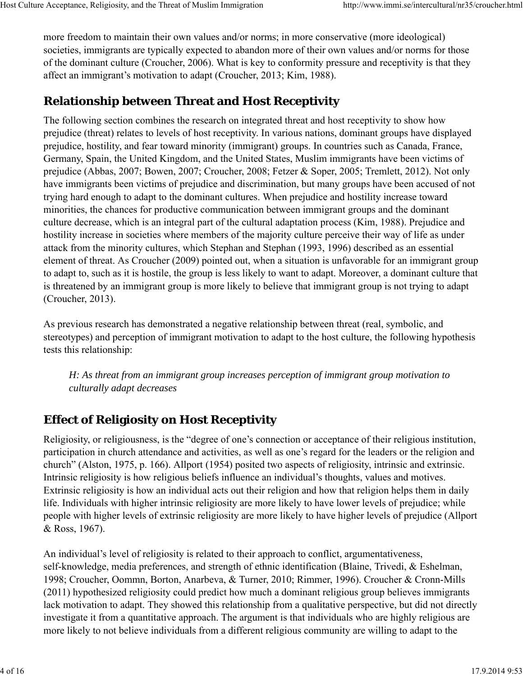more freedom to maintain their own values and/or norms; in more conservative (more ideological) societies, immigrants are typically expected to abandon more of their own values and/or norms for those of the dominant culture (Croucher, 2006). What is key to conformity pressure and receptivity is that they affect an immigrant's motivation to adapt (Croucher, 2013; Kim, 1988).

### **Relationship between Threat and Host Receptivity**

The following section combines the research on integrated threat and host receptivity to show how prejudice (threat) relates to levels of host receptivity. In various nations, dominant groups have displayed prejudice, hostility, and fear toward minority (immigrant) groups. In countries such as Canada, France, Germany, Spain, the United Kingdom, and the United States, Muslim immigrants have been victims of prejudice (Abbas, 2007; Bowen, 2007; Croucher, 2008; Fetzer & Soper, 2005; Tremlett, 2012). Not only have immigrants been victims of prejudice and discrimination, but many groups have been accused of not trying hard enough to adapt to the dominant cultures. When prejudice and hostility increase toward minorities, the chances for productive communication between immigrant groups and the dominant culture decrease, which is an integral part of the cultural adaptation process (Kim, 1988). Prejudice and hostility increase in societies where members of the majority culture perceive their way of life as under attack from the minority cultures, which Stephan and Stephan (1993, 1996) described as an essential element of threat. As Croucher (2009) pointed out, when a situation is unfavorable for an immigrant group to adapt to, such as it is hostile, the group is less likely to want to adapt. Moreover, a dominant culture that is threatened by an immigrant group is more likely to believe that immigrant group is not trying to adapt (Croucher, 2013).

As previous research has demonstrated a negative relationship between threat (real, symbolic, and stereotypes) and perception of immigrant motivation to adapt to the host culture, the following hypothesis tests this relationship:

*H: As threat from an immigrant group increases perception of immigrant group motivation to culturally adapt decreases*

## **Effect of Religiosity on Host Receptivity**

Religiosity, or religiousness, is the "degree of one's connection or acceptance of their religious institution, participation in church attendance and activities, as well as one's regard for the leaders or the religion and church" (Alston, 1975, p. 166). Allport (1954) posited two aspects of religiosity, intrinsic and extrinsic. Intrinsic religiosity is how religious beliefs influence an individual's thoughts, values and motives. Extrinsic religiosity is how an individual acts out their religion and how that religion helps them in daily life. Individuals with higher intrinsic religiosity are more likely to have lower levels of prejudice; while people with higher levels of extrinsic religiosity are more likely to have higher levels of prejudice (Allport & Ross, 1967).

An individual's level of religiosity is related to their approach to conflict, argumentativeness, self-knowledge, media preferences, and strength of ethnic identification (Blaine, Trivedi, & Eshelman, 1998; Croucher, Oommn, Borton, Anarbeva, & Turner, 2010; Rimmer, 1996). Croucher & Cronn-Mills (2011) hypothesized religiosity could predict how much a dominant religious group believes immigrants lack motivation to adapt. They showed this relationship from a qualitative perspective, but did not directly investigate it from a quantitative approach. The argument is that individuals who are highly religious are more likely to not believe individuals from a different religious community are willing to adapt to the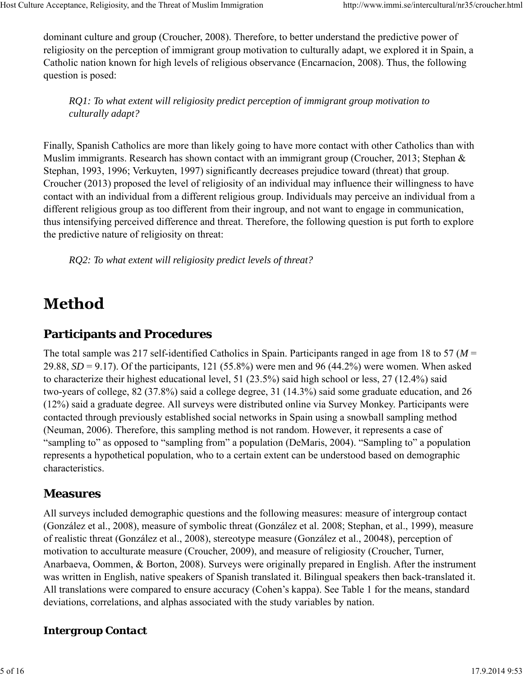dominant culture and group (Croucher, 2008). Therefore, to better understand the predictive power of religiosity on the perception of immigrant group motivation to culturally adapt, we explored it in Spain, a Catholic nation known for high levels of religious observance (Encarnacíon, 2008). Thus, the following question is posed:

*RQ1: To what extent will religiosity predict perception of immigrant group motivation to culturally adapt?*

Finally, Spanish Catholics are more than likely going to have more contact with other Catholics than with Muslim immigrants. Research has shown contact with an immigrant group (Croucher, 2013; Stephan & Stephan, 1993, 1996; Verkuyten, 1997) significantly decreases prejudice toward (threat) that group. Croucher (2013) proposed the level of religiosity of an individual may influence their willingness to have contact with an individual from a different religious group. Individuals may perceive an individual from a different religious group as too different from their ingroup, and not want to engage in communication, thus intensifying perceived difference and threat. Therefore, the following question is put forth to explore the predictive nature of religiosity on threat:

*RQ2: To what extent will religiosity predict levels of threat?*

## **Method**

### **Participants and Procedures**

The total sample was 217 self-identified Catholics in Spain. Participants ranged in age from 18 to 57 (*M* = 29.88, *SD* = 9.17). Of the participants, 121 (55.8%) were men and 96 (44.2%) were women. When asked to characterize their highest educational level, 51 (23.5%) said high school or less, 27 (12.4%) said two-years of college, 82 (37.8%) said a college degree, 31 (14.3%) said some graduate education, and 26 (12%) said a graduate degree. All surveys were distributed online via Survey Monkey. Participants were contacted through previously established social networks in Spain using a snowball sampling method (Neuman, 2006). Therefore, this sampling method is not random. However, it represents a case of "sampling to" as opposed to "sampling from" a population (DeMaris, 2004). "Sampling to" a population represents a hypothetical population, who to a certain extent can be understood based on demographic characteristics.

### **Measures**

All surveys included demographic questions and the following measures: measure of intergroup contact (González et al., 2008), measure of symbolic threat (González et al. 2008; Stephan, et al., 1999), measure of realistic threat (González et al., 2008), stereotype measure (González et al., 20048), perception of motivation to acculturate measure (Croucher, 2009), and measure of religiosity (Croucher, Turner, Anarbaeva, Oommen, & Borton, 2008). Surveys were originally prepared in English. After the instrument was written in English, native speakers of Spanish translated it. Bilingual speakers then back-translated it. All translations were compared to ensure accuracy (Cohen's kappa). See Table 1 for the means, standard deviations, correlations, and alphas associated with the study variables by nation.

### *Intergroup Contact*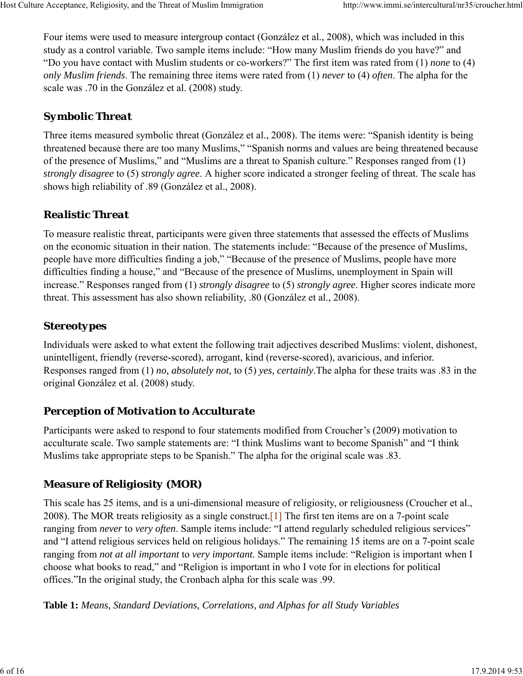Four items were used to measure intergroup contact (González et al., 2008), which was included in this study as a control variable. Two sample items include: "How many Muslim friends do you have?" and "Do you have contact with Muslim students or co-workers?" The first item was rated from (1) *none* to (4) *only Muslim friends*. The remaining three items were rated from (1) *never* to (4) *often*. The alpha for the scale was .70 in the González et al. (2008) study.

#### *Symbolic Threat*

Three items measured symbolic threat (González et al., 2008). The items were: "Spanish identity is being threatened because there are too many Muslims," "Spanish norms and values are being threatened because of the presence of Muslims," and "Muslims are a threat to Spanish culture." Responses ranged from (1) *strongly disagree* to (5) *strongly agree*. A higher score indicated a stronger feeling of threat. The scale has shows high reliability of .89 (González et al., 2008).

#### *Realistic Threat*

To measure realistic threat, participants were given three statements that assessed the effects of Muslims on the economic situation in their nation. The statements include: "Because of the presence of Muslims, people have more difficulties finding a job," "Because of the presence of Muslims, people have more difficulties finding a house," and "Because of the presence of Muslims, unemployment in Spain will increase." Responses ranged from (1) *strongly disagree* to (5) *strongly agree*. Higher scores indicate more threat. This assessment has also shown reliability, .80 (González et al., 2008).

#### *Stereotypes*

Individuals were asked to what extent the following trait adjectives described Muslims: violent, dishonest, unintelligent, friendly (reverse-scored), arrogant, kind (reverse-scored), avaricious, and inferior. Responses ranged from (1) *no, absolutely not,* to (5) *yes, certainly*.The alpha for these traits was .83 in the original González et al. (2008) study.

#### *Perception of Motivation to Acculturate*

Participants were asked to respond to four statements modified from Croucher's (2009) motivation to acculturate scale. Two sample statements are: "I think Muslims want to become Spanish" and "I think Muslims take appropriate steps to be Spanish." The alpha for the original scale was .83.

#### *Measure of Religiosity (MOR)*

This scale has 25 items, and is a uni-dimensional measure of religiosity, or religiousness (Croucher et al., 2008). The MOR treats religiosity as a single construct.[1] The first ten items are on a 7-point scale ranging from *never* to *very often*. Sample items include: "I attend regularly scheduled religious services" and "I attend religious services held on religious holidays." The remaining 15 items are on a 7-point scale ranging from *not at all important* to *very important.* Sample items include: "Religion is important when I choose what books to read," and "Religion is important in who I vote for in elections for political offices."In the original study, the Cronbach alpha for this scale was .99.

**Table 1:** *Means, Standard Deviations, Correlations, and Alphas for all Study Variables*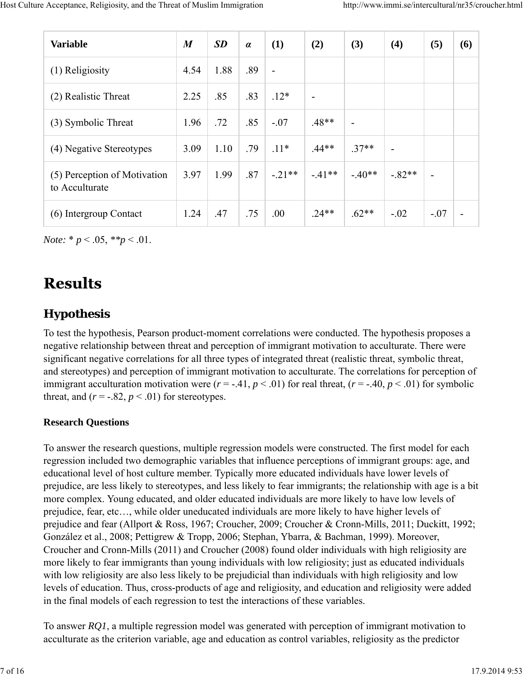| <b>Variable</b>                                | $\boldsymbol{M}$ | <b>SD</b> | $\alpha$ | (1)            | (2)            | (3)                      | (4)                      | (5)    | (6) |
|------------------------------------------------|------------------|-----------|----------|----------------|----------------|--------------------------|--------------------------|--------|-----|
| (1) Religiosity                                | 4.54             | 1.88      | .89      | $\blacksquare$ |                |                          |                          |        |     |
| (2) Realistic Threat                           | 2.25             | .85       | .83      | $.12*$         | $\blacksquare$ |                          |                          |        |     |
| (3) Symbolic Threat                            | 1.96             | .72       | .85      | $-.07$         | $.48**$        | $\overline{\phantom{0}}$ |                          |        |     |
| (4) Negative Stereotypes                       | 3.09             | 1.10      | .79      | $.11*$         | $.44**$        | $.37**$                  | $\overline{\phantom{0}}$ |        |     |
| (5) Perception of Motivation<br>to Acculturate | 3.97             | 1.99      | .87      | $-21**$        | $-41**$        | $-40**$                  | $-82**$                  |        |     |
| (6) Intergroup Contact                         | 1.24             | .47       | .75      | .00            | $.24**$        | $.62**$                  | $-.02$                   | $-.07$ |     |

*Note:*  $* p < .05, **p < .01$ .

## **Results**

### **Hypothesis**

To test the hypothesis, Pearson product-moment correlations were conducted. The hypothesis proposes a negative relationship between threat and perception of immigrant motivation to acculturate. There were significant negative correlations for all three types of integrated threat (realistic threat, symbolic threat, and stereotypes) and perception of immigrant motivation to acculturate. The correlations for perception of immigrant acculturation motivation were  $(r = -0.41, p < 0.01)$  for real threat,  $(r = -0.40, p < 0.01)$  for symbolic threat, and  $(r = -.82, p < .01)$  for stereotypes.

#### **Research Questions**

To answer the research questions, multiple regression models were constructed. The first model for each regression included two demographic variables that influence perceptions of immigrant groups: age, and educational level of host culture member. Typically more educated individuals have lower levels of prejudice, are less likely to stereotypes, and less likely to fear immigrants; the relationship with age is a bit more complex. Young educated, and older educated individuals are more likely to have low levels of prejudice, fear, etc…, while older uneducated individuals are more likely to have higher levels of prejudice and fear (Allport & Ross, 1967; Croucher, 2009; Croucher & Cronn-Mills, 2011; Duckitt, 1992; González et al., 2008; Pettigrew & Tropp, 2006; Stephan, Ybarra, & Bachman, 1999). Moreover, Croucher and Cronn-Mills (2011) and Croucher (2008) found older individuals with high religiosity are more likely to fear immigrants than young individuals with low religiosity; just as educated individuals with low religiosity are also less likely to be prejudicial than individuals with high religiosity and low levels of education. Thus, cross-products of age and religiosity, and education and religiosity were added in the final models of each regression to test the interactions of these variables.

To answer *RQ1*, a multiple regression model was generated with perception of immigrant motivation to acculturate as the criterion variable, age and education as control variables, religiosity as the predictor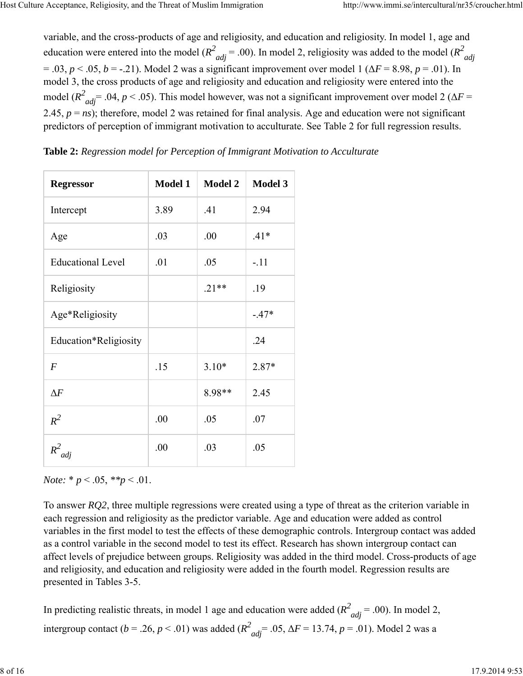variable, and the cross-products of age and religiosity, and education and religiosity. In model 1, age and education were entered into the model ( $R^2_{adj}$  = .00). In model 2, religiosity was added to the model ( $R^2_{adj}$ )  $= .03, p < .05, b = .21$ ). Model 2 was a significant improvement over model 1 ( $\Delta F = 8.98, p = .01$ ). In model 3, the cross products of age and religiosity and education and religiosity were entered into the model ( $R^2_{adj}$  = .04, *p* < .05). This model however, was not a significant improvement over model 2 ( $\Delta F$  = 2.45,  $p = ns$ ); therefore, model 2 was retained for final analysis. Age and education were not significant predictors of perception of immigrant motivation to acculturate. See Table 2 for full regression results.

| <b>Regressor</b>         | <b>Model 1</b> | <b>Model 2</b> | <b>Model 3</b> |
|--------------------------|----------------|----------------|----------------|
| Intercept                | 3.89           | .41            | 2.94           |
| Age                      | .03            | .00            | $.41*$         |
| <b>Educational Level</b> | .01            | .05            | $-.11$         |
| Religiosity              |                | $.21**$        | .19            |
| Age*Religiosity          |                |                | $-.47*$        |
| Education*Religiosity    |                |                | .24            |
| $\boldsymbol{F}$         | .15            | $3.10*$        | 2.87*          |
| $\Delta F$               |                | 8.98**         | 2.45           |
| $R^2$                    | .00            | .05            | .07            |
| $R^2$<br>adj             | .00            | .03            | .05            |

**Table 2:** *Regression model for Perception of Immigrant Motivation to Acculturate*

*Note:*  $* p < .05, **p < .01$ .

To answer *RQ2*, three multiple regressions were created using a type of threat as the criterion variable in each regression and religiosity as the predictor variable. Age and education were added as control variables in the first model to test the effects of these demographic controls. Intergroup contact was added as a control variable in the second model to test its effect. Research has shown intergroup contact can affect levels of prejudice between groups. Religiosity was added in the third model. Cross-products of age and religiosity, and education and religiosity were added in the fourth model. Regression results are presented in Tables 3-5.

In predicting realistic threats, in model 1 age and education were added  $(R^2_{adj} = .00)$ . In model 2, intergroup contact (*b* = .26, *p* < .01) was added ( $R^2_{adj}$  = .05,  $\Delta F$  = 13.74, *p* = .01). Model 2 was a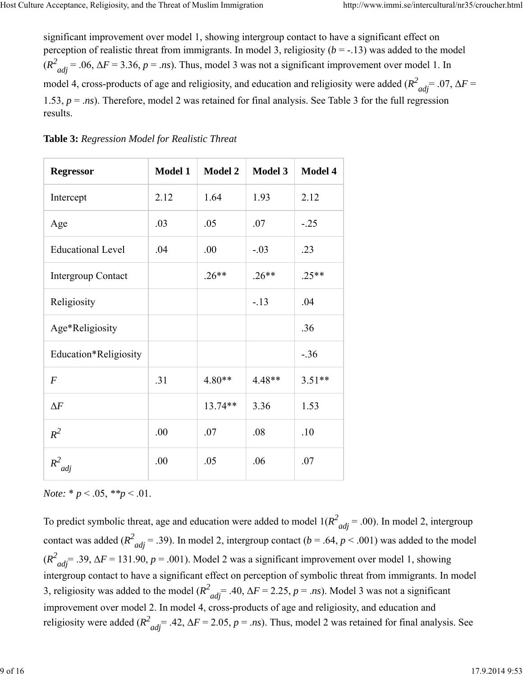significant improvement over model 1, showing intergroup contact to have a significant effect on perception of realistic threat from immigrants. In model 3, religiosity (*b* = -.13) was added to the model  $(R^2_{adj} = .06, \Delta F = 3.36, p = .ns)$ . Thus, model 3 was not a significant improvement over model 1. In model 4, cross-products of age and religiosity, and education and religiosity were added ( $R^2_{adj}$  = .07,  $\Delta F$  = 1.53, *p* = .*ns*). Therefore, model 2 was retained for final analysis. See Table 3 for the full regression results.

| <b>Regressor</b>          | <b>Model 1</b> | <b>Model 2</b> | <b>Model 3</b> | Model 4  |
|---------------------------|----------------|----------------|----------------|----------|
| Intercept                 | 2.12           | 1.64           | 1.93           | 2.12     |
| Age                       | .03            | .05            | .07            | $-.25$   |
| <b>Educational Level</b>  | .04            | .00            | $-.03$         | .23      |
| <b>Intergroup Contact</b> |                | $.26**$        | $.26**$        | $.25**$  |
| Religiosity               |                |                | $-13$          | .04      |
| Age*Religiosity           |                |                |                | .36      |
| Education*Religiosity     |                |                |                | $-.36$   |
| $\boldsymbol{F}$          | .31            | $4.80**$       | 4.48**         | $3.51**$ |
| $\Delta F$                |                | 13.74**        | 3.36           | 1.53     |
| $R^2$                     | .00            | .07            | .08            | .10      |
| $R^2$<br>adj              | .00            | .05            | .06            | .07      |

|  | Table 3: Regression Model for Realistic Threat |  |  |
|--|------------------------------------------------|--|--|
|  |                                                |  |  |

*Note:* \* *p* < .05, *\*\*p* < .01.

To predict symbolic threat, age and education were added to model  $1(R^2_{adj} = .00)$ . In model 2, intergroup contact was added ( $R^2_{adj}$  = .39). In model 2, intergroup contact ( $b$  = .64,  $p$  < .001) was added to the model  $(R^2_{adj} = .39, \Delta F = 131.90, p = .001)$ . Model 2 was a significant improvement over model 1, showing intergroup contact to have a significant effect on perception of symbolic threat from immigrants. In model 3, religiosity was added to the model  $(R^2_{adj} = .40, \Delta F = 2.25, p = .ns)$ . Model 3 was not a significant improvement over model 2. In model 4, cross-products of age and religiosity, and education and religiosity were added  $(R^2_{adj} = .42, \Delta F = 2.05, p = .ns)$ . Thus, model 2 was retained for final analysis. See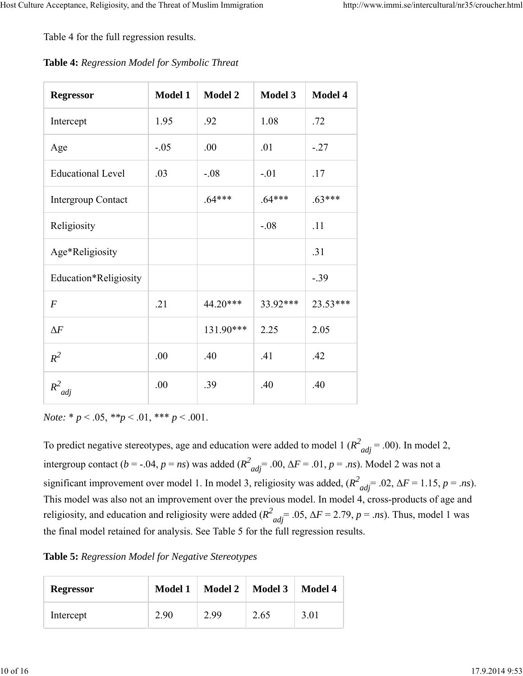Table 4 for the full regression results.

| Table 4: Regression Model for Symbolic Threat |  |  |  |
|-----------------------------------------------|--|--|--|
|-----------------------------------------------|--|--|--|

| <b>Regressor</b>          | <b>Model 1</b> | <b>Model 2</b> | <b>Model 3</b> | <b>Model 4</b> |
|---------------------------|----------------|----------------|----------------|----------------|
| Intercept                 | 1.95           | .92            | 1.08           | .72            |
| Age                       | $-.05$         | .00            | .01            | $-.27$         |
| <b>Educational Level</b>  | .03            | $-.08$         | $-.01$         | .17            |
| <b>Intergroup Contact</b> |                | $.64***$       | $.64***$       | $.63***$       |
| Religiosity               |                |                | $-.08$         | .11            |
| Age*Religiosity           |                |                |                | .31            |
| Education*Religiosity     |                |                |                | $-0.39$        |
| $\overline{F}$            | .21            | 44.20***       | 33.92***       | 23.53***       |
| $\Delta F$                |                | 131.90***      | 2.25           | 2.05           |
| $R^2$                     | .00            | .40            | .41            | .42            |
| $R^2$<br>adj              | .00            | .39            | .40            | .40            |

*Note:* \* *p* < .05, *\*\*p* < .01, \*\*\* *p* < .001.

To predict negative stereotypes, age and education were added to model 1 ( $R^2_{adj}$  = .00). In model 2, intergroup contact (*b* = -.04, *p* = *ns*) was added ( $R^2_{adj}$  = .00,  $\Delta F$  = .01, *p* = .*ns*). Model 2 was not a significant improvement over model 1. In model 3, religiosity was added,  $(R^2_{adj} = .02, \Delta F = 1.15, p = .ns)$ . This model was also not an improvement over the previous model. In model 4, cross-products of age and religiosity, and education and religiosity were added  $(R^2_{adj} = .05, \Delta F = 2.79, p = .ns)$ . Thus, model 1 was the final model retained for analysis. See Table 5 for the full regression results.

**Table 5:** *Regression Model for Negative Stereotypes*

| <b>Regressor</b> | Model 1 | <b>Model 2</b> | <b>Model 3</b> | <b>Model 4</b> |
|------------------|---------|----------------|----------------|----------------|
| Intercept        | 2.90    | 2.99           | 2.65           | 3.01           |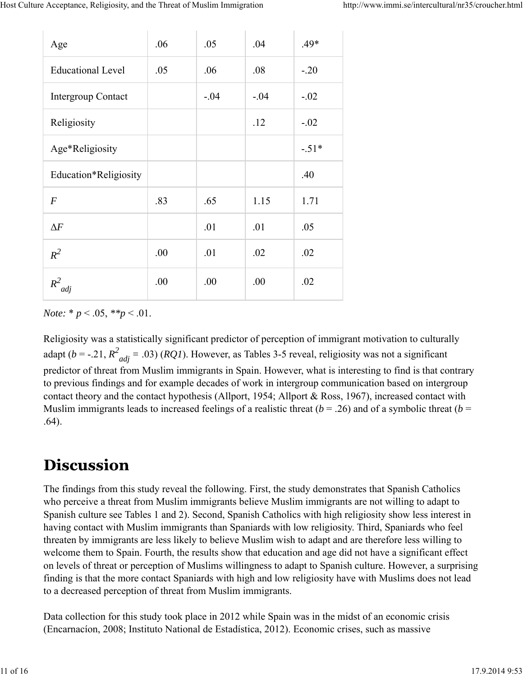| Age                       | .06  | .05    | .04    | $.49*$  |
|---------------------------|------|--------|--------|---------|
| <b>Educational Level</b>  | .05  | .06    | .08    | $-.20$  |
| <b>Intergroup Contact</b> |      | $-.04$ | $-.04$ | $-.02$  |
| Religiosity               |      |        | .12    | $-.02$  |
| Age*Religiosity           |      |        |        | $-.51*$ |
| Education*Religiosity     |      |        |        | .40     |
| $\overline{F}$            | .83  | .65    | 1.15   | 1.71    |
| $\Delta F$                |      | .01    | .01    | .05     |
| $R^2$                     | .00. | .01    | .02    | .02     |
| $R^2$<br>adj              | .00  | .00    | .00    | .02     |

*Note:*  $* p < .05, **p < .01$ .

Religiosity was a statistically significant predictor of perception of immigrant motivation to culturally adapt ( $b = -.21$ ,  $R^2_{adj} = .03$ ) (*RQ1*). However, as Tables 3-5 reveal, religiosity was not a significant predictor of threat from Muslim immigrants in Spain. However, what is interesting to find is that contrary to previous findings and for example decades of work in intergroup communication based on intergroup contact theory and the contact hypothesis (Allport, 1954; Allport & Ross, 1967), increased contact with Muslim immigrants leads to increased feelings of a realistic threat ( $b = .26$ ) and of a symbolic threat ( $b =$ .64).

## **Discussion**

The findings from this study reveal the following. First, the study demonstrates that Spanish Catholics who perceive a threat from Muslim immigrants believe Muslim immigrants are not willing to adapt to Spanish culture see Tables 1 and 2). Second, Spanish Catholics with high religiosity show less interest in having contact with Muslim immigrants than Spaniards with low religiosity. Third, Spaniards who feel threaten by immigrants are less likely to believe Muslim wish to adapt and are therefore less willing to welcome them to Spain. Fourth, the results show that education and age did not have a significant effect on levels of threat or perception of Muslims willingness to adapt to Spanish culture. However, a surprising finding is that the more contact Spaniards with high and low religiosity have with Muslims does not lead to a decreased perception of threat from Muslim immigrants.

Data collection for this study took place in 2012 while Spain was in the midst of an economic crisis (Encarnacíon, 2008; Instituto National de Estadística, 2012). Economic crises, such as massive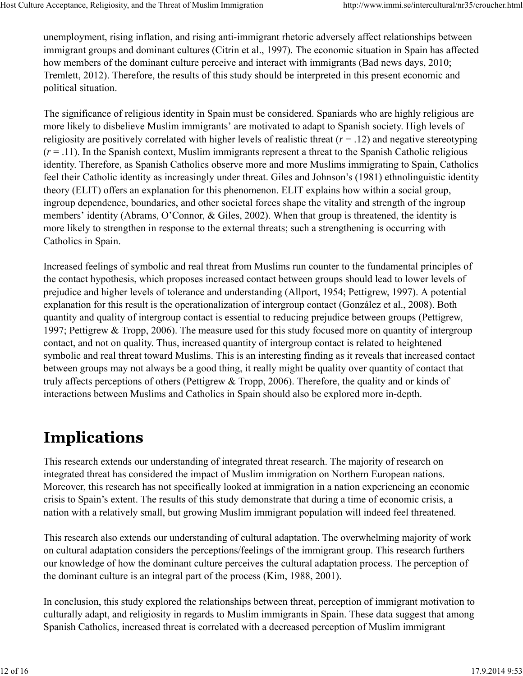unemployment, rising inflation, and rising anti-immigrant rhetoric adversely affect relationships between immigrant groups and dominant cultures (Citrin et al., 1997). The economic situation in Spain has affected how members of the dominant culture perceive and interact with immigrants (Bad news days, 2010; Tremlett, 2012). Therefore, the results of this study should be interpreted in this present economic and political situation.

The significance of religious identity in Spain must be considered. Spaniards who are highly religious are more likely to disbelieve Muslim immigrants' are motivated to adapt to Spanish society. High levels of religiosity are positively correlated with higher levels of realistic threat  $(r = .12)$  and negative stereotyping  $(r = .11)$ . In the Spanish context, Muslim immigrants represent a threat to the Spanish Catholic religious identity. Therefore, as Spanish Catholics observe more and more Muslims immigrating to Spain, Catholics feel their Catholic identity as increasingly under threat. Giles and Johnson's (1981) ethnolinguistic identity theory (ELIT) offers an explanation for this phenomenon. ELIT explains how within a social group, ingroup dependence, boundaries, and other societal forces shape the vitality and strength of the ingroup members' identity (Abrams, O'Connor, & Giles, 2002). When that group is threatened, the identity is more likely to strengthen in response to the external threats; such a strengthening is occurring with Catholics in Spain.

Increased feelings of symbolic and real threat from Muslims run counter to the fundamental principles of the contact hypothesis, which proposes increased contact between groups should lead to lower levels of prejudice and higher levels of tolerance and understanding (Allport, 1954; Pettigrew, 1997). A potential explanation for this result is the operationalization of intergroup contact (González et al., 2008). Both quantity and quality of intergroup contact is essential to reducing prejudice between groups (Pettigrew, 1997; Pettigrew & Tropp, 2006). The measure used for this study focused more on quantity of intergroup contact, and not on quality. Thus, increased quantity of intergroup contact is related to heightened symbolic and real threat toward Muslims. This is an interesting finding as it reveals that increased contact between groups may not always be a good thing, it really might be quality over quantity of contact that truly affects perceptions of others (Pettigrew & Tropp, 2006). Therefore, the quality and or kinds of interactions between Muslims and Catholics in Spain should also be explored more in-depth.

## **Implications**

This research extends our understanding of integrated threat research. The majority of research on integrated threat has considered the impact of Muslim immigration on Northern European nations. Moreover, this research has not specifically looked at immigration in a nation experiencing an economic crisis to Spain's extent. The results of this study demonstrate that during a time of economic crisis, a nation with a relatively small, but growing Muslim immigrant population will indeed feel threatened.

This research also extends our understanding of cultural adaptation. The overwhelming majority of work on cultural adaptation considers the perceptions/feelings of the immigrant group. This research furthers our knowledge of how the dominant culture perceives the cultural adaptation process. The perception of the dominant culture is an integral part of the process (Kim, 1988, 2001).

In conclusion, this study explored the relationships between threat, perception of immigrant motivation to culturally adapt, and religiosity in regards to Muslim immigrants in Spain. These data suggest that among Spanish Catholics, increased threat is correlated with a decreased perception of Muslim immigrant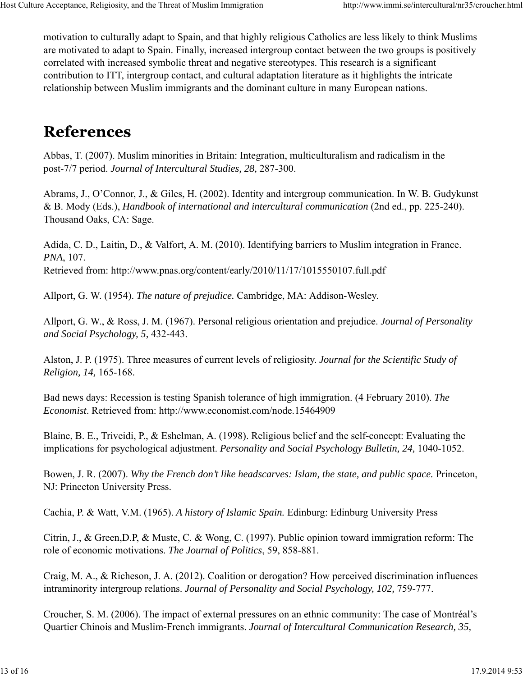motivation to culturally adapt to Spain, and that highly religious Catholics are less likely to think Muslims are motivated to adapt to Spain. Finally, increased intergroup contact between the two groups is positively correlated with increased symbolic threat and negative stereotypes. This research is a significant contribution to ITT, intergroup contact, and cultural adaptation literature as it highlights the intricate relationship between Muslim immigrants and the dominant culture in many European nations.

## **References**

Abbas, T. (2007). Muslim minorities in Britain: Integration, multiculturalism and radicalism in the post-7/7 period. *Journal of Intercultural Studies, 28,* 287-300.

Abrams, J., O'Connor, J., & Giles, H. (2002). Identity and intergroup communication. In W. B. Gudykunst & B. Mody (Eds.), *Handbook of international and intercultural communication* (2nd ed., pp. 225-240). Thousand Oaks, CA: Sage.

Adida, C. D., Laitin, D., & Valfort, A. M. (2010). Identifying barriers to Muslim integration in France. *PNA*, 107. Retrieved from: http://www.pnas.org/content/early/2010/11/17/1015550107.full.pdf

Allport, G. W. (1954). *The nature of prejudice.* Cambridge, MA: Addison-Wesley.

Allport, G. W., & Ross, J. M. (1967). Personal religious orientation and prejudice. *Journal of Personality and Social Psychology, 5,* 432-443.

Alston, J. P. (1975). Three measures of current levels of religiosity. *Journal for the Scientific Study of Religion, 14,* 165-168.

Bad news days: Recession is testing Spanish tolerance of high immigration. (4 February 2010). *The Economist*. Retrieved from: http://www.economist.com/node.15464909

Blaine, B. E., Triveidi, P., & Eshelman, A. (1998). Religious belief and the self-concept: Evaluating the implications for psychological adjustment. *Personality and Social Psychology Bulletin*, 24, 1040-1052.

Bowen, J. R. (2007). *Why the French don't like headscarves: Islam, the state, and public space.* Princeton, NJ: Princeton University Press.

Cachia, P. & Watt, V.M. (1965). *A history of Islamic Spain.* Edinburg: Edinburg University Press

Citrin, J., & Green,D.P, & Muste, C. & Wong, C. (1997). Public opinion toward immigration reform: The role of economic motivations. *The Journal of Politics*, 59, 858-881.

Craig, M. A., & Richeson, J. A. (2012). Coalition or derogation? How perceived discrimination influences intraminority intergroup relations. *Journal of Personality and Social Psychology, 102, 759-777*.

Croucher, S. M. (2006). The impact of external pressures on an ethnic community: The case of Montréal's Quartier Chinois and Muslim-French immigrants. *Journal of Intercultural Communication Research, 35,*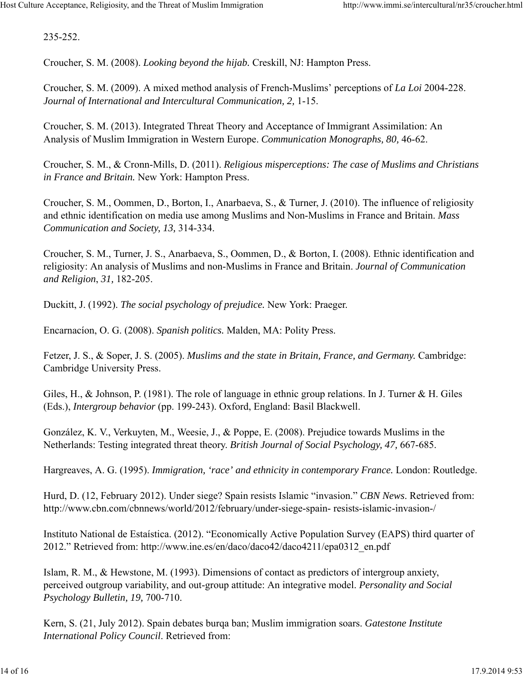235-252.

Croucher, S. M. (2008). *Looking beyond the hijab.* Creskill, NJ: Hampton Press.

Croucher, S. M. (2009). A mixed method analysis of French-Muslims' perceptions of *La Loi* 2004-228. *Journal of International and Intercultural Communication, 2,* 1-15.

Croucher, S. M. (2013). Integrated Threat Theory and Acceptance of Immigrant Assimilation: An Analysis of Muslim Immigration in Western Europe. *Communication Monographs, 80,* 46-62.

Croucher, S. M., & Cronn-Mills, D. (2011). *Religious misperceptions: The case of Muslims and Christians in France and Britain.* New York: Hampton Press.

Croucher, S. M., Oommen, D., Borton, I., Anarbaeva, S., & Turner, J. (2010). The influence of religiosity and ethnic identification on media use among Muslims and Non-Muslims in France and Britain. *Mass Communication and Society, 13,* 314-334.

Croucher, S. M., Turner, J. S., Anarbaeva, S., Oommen, D., & Borton, I. (2008). Ethnic identification and religiosity: An analysis of Muslims and non-Muslims in France and Britain. *Journal of Communication and Religion*, *31,* 182-205.

Duckitt, J. (1992). *The social psychology of prejudice.* New York: Praeger.

Encarnacíon, O. G. (2008). *Spanish politics.* Malden, MA: Polity Press.

Fetzer, J. S., & Soper, J. S. (2005). *Muslims and the state in Britain, France, and Germany.* Cambridge: Cambridge University Press.

Giles, H., & Johnson, P. (1981). The role of language in ethnic group relations. In J. Turner & H. Giles (Eds.), *Intergroup behavior* (pp. 199-243). Oxford, England: Basil Blackwell.

González, K. V., Verkuyten, M., Weesie, J., & Poppe, E. (2008). Prejudice towards Muslims in the Netherlands: Testing integrated threat theory. *British Journal of Social Psychology, 47,* 667-685.

Hargreaves, A. G. (1995). *Immigration, 'race' and ethnicity in contemporary France.* London: Routledge.

Hurd, D. (12, February 2012). Under siege? Spain resists Islamic "invasion." *CBN News*. Retrieved from: http://www.cbn.com/cbnnews/world/2012/february/under-siege-spain- resists-islamic-invasion-/

Instituto National de Estaística. (2012). "Economically Active Population Survey (EAPS) third quarter of 2012." Retrieved from: http://www.ine.es/en/daco/daco42/daco4211/epa0312\_en.pdf

Islam, R. M., & Hewstone, M. (1993). Dimensions of contact as predictors of intergroup anxiety, perceived outgroup variability, and out-group attitude: An integrative model. *Personality and Social Psychology Bulletin, 19,* 700-710.

Kern, S. (21, July 2012). Spain debates burqa ban; Muslim immigration soars. *Gatestone Institute International Policy Council*. Retrieved from: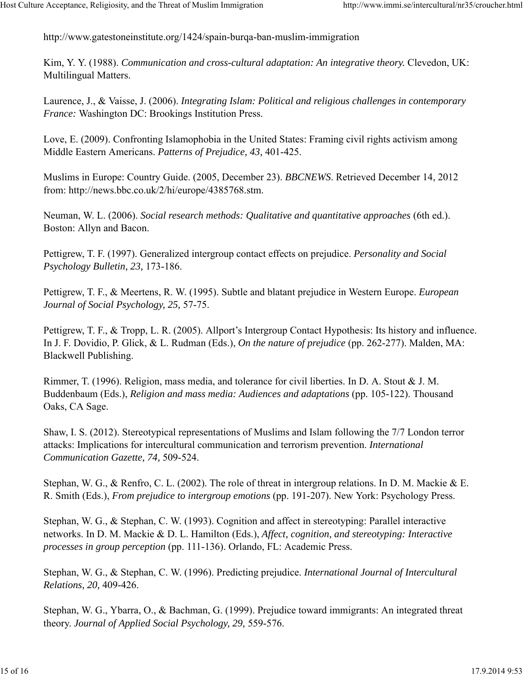http://www.gatestoneinstitute.org/1424/spain-burqa-ban-muslim-immigration

Kim, Y. Y. (1988). *Communication and cross-cultural adaptation: An integrative theory.* Clevedon, UK: Multilingual Matters.

Laurence, J., & Vaisse, J. (2006). *Integrating Islam: Political and religious challenges in contemporary France:* Washington DC: Brookings Institution Press.

Love, E. (2009). Confronting Islamophobia in the United States: Framing civil rights activism among Middle Eastern Americans. *Patterns of Prejudice, 43,* 401-425.

Muslims in Europe: Country Guide. (2005, December 23). *BBCNEWS*. Retrieved December 14, 2012 from: http://news.bbc.co.uk/2/hi/europe/4385768.stm.

Neuman, W. L. (2006). *Social research methods: Qualitative and quantitative approaches* (6th ed.). Boston: Allyn and Bacon.

Pettigrew, T. F. (1997). Generalized intergroup contact effects on prejudice. *Personality and Social Psychology Bulletin, 23,* 173-186.

Pettigrew, T. F., & Meertens, R. W. (1995). Subtle and blatant prejudice in Western Europe. *European Journal of Social Psychology, 25,* 57-75.

Pettigrew, T. F., & Tropp, L. R. (2005). Allport's Intergroup Contact Hypothesis: Its history and influence. In J. F. Dovidio, P. Glick, & L. Rudman (Eds.), *On the nature of prejudice* (pp. 262-277). Malden, MA: Blackwell Publishing.

Rimmer, T. (1996). Religion, mass media, and tolerance for civil liberties. In D. A. Stout  $\&$  J. M. Buddenbaum (Eds.), *Religion and mass media: Audiences and adaptations* (pp. 105-122). Thousand Oaks, CA Sage.

Shaw, I. S. (2012). Stereotypical representations of Muslims and Islam following the 7/7 London terror attacks: Implications for intercultural communication and terrorism prevention. *International Communication Gazette, 74,* 509-524.

Stephan, W. G., & Renfro, C. L. (2002). The role of threat in intergroup relations. In D. M. Mackie & E. R. Smith (Eds.), *From prejudice to intergroup emotions* (pp. 191-207). New York: Psychology Press.

Stephan, W. G., & Stephan, C. W. (1993). Cognition and affect in stereotyping: Parallel interactive networks. In D. M. Mackie & D. L. Hamilton (Eds.), *Affect, cognition, and stereotyping: Interactive processes in group perception* (pp. 111-136). Orlando, FL: Academic Press.

Stephan, W. G., & Stephan, C. W. (1996). Predicting prejudice. *International Journal of Intercultural Relations, 20,* 409-426.

Stephan, W. G., Ybarra, O., & Bachman, G. (1999). Prejudice toward immigrants: An integrated threat theory. *Journal of Applied Social Psychology, 29,* 559-576.